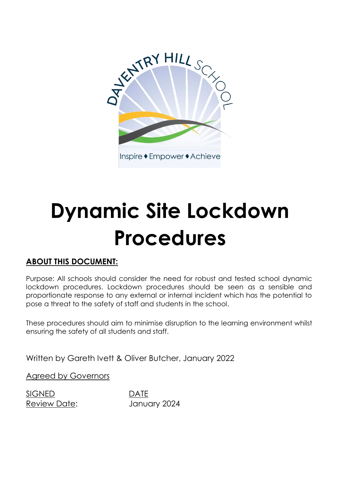

# **Dynamic Site Lockdown Procedures**

# **ABOUT THIS DOCUMENT:**

Purpose: All schools should consider the need for robust and tested school dynamic lockdown procedures. Lockdown procedures should be seen as a sensible and proportionate response to any external or internal incident which has the potential to pose a threat to the safety of staff and students in the school.

These procedures should aim to minimise disruption to the learning environment whilst ensuring the safety of all students and staff.

Written by Gareth Ivett & Oliver Butcher, January 2022

Agreed by Governors

SIGNED DATE

Review Date: January 2024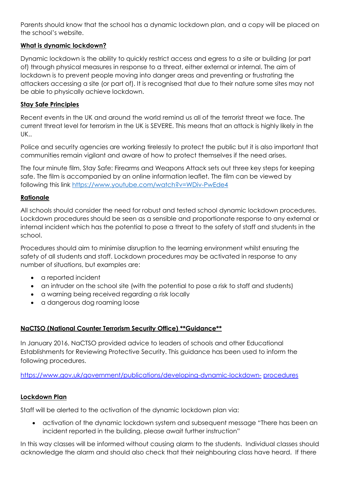Parents should know that the school has a dynamic lockdown plan, and a copy will be placed on the school's website.

# **What is dynamic lockdown?**

Dynamic lockdown is the ability to quickly restrict access and egress to a site or building (or part of) through physical measures in response to a threat, either external or internal. The aim of lockdown is to prevent people moving into danger areas and preventing or frustrating the attackers accessing a site (or part of). It is recognised that due to their nature some sites may not be able to physically achieve lockdown.

#### **Stay Safe Principles**

Recent events in the UK and around the world remind us all of the terrorist threat we face. The current threat level for terrorism in the UK is SEVERE. This means that an attack is highly likely in the UK..

Police and security agencies are working tirelessly to protect the public but it is also important that communities remain vigilant and aware of how to protect themselves if the need arises.

The four minute film, Stay Safe: Firearms and Weapons Attack sets out three key steps for keeping safe. The film is accompanied by an online information leaflet. The film can be viewed by following this link<https://www.youtube.com/watch?v=WDiv-PwEde4>

#### **Rationale**

All schools should consider the need for robust and tested school dynamic lockdown procedures. Lockdown procedures should be seen as a sensible and proportionate response to any external or internal incident which has the potential to pose a threat to the safety of staff and students in the school.

Procedures should aim to minimise disruption to the learning environment whilst ensuring the safety of all students and staff. Lockdown procedures may be activated in response to any number of situations, but examples are:

- a reported incident
- an intruder on the school site (with the potential to pose a risk to staff and students)
- a warning being received regarding a risk locally
- a dangerous dog roaming loose

# **NaCTSO (National Counter Terrorism Security Office) \*\*Guidance\*\***

In January 2016, NaCTSO provided advice to leaders of schools and other Educational Establishments for Reviewing Protective Security. This guidance has been used to inform the following procedures.

[https://www.gov.uk/government/publications/developing-dynamic-lockdown-](https://www.gov.uk/government/publications/developing-dynamic-lockdown-procedures) [procedures](https://www.gov.uk/government/publications/developing-dynamic-lockdown-procedures)

# **Lockdown Plan**

Staff will be alerted to the activation of the dynamic lockdown plan via:

 activation of the dynamic lockdown system and subsequent message "There has been an incident reported in the building, please await further instruction"

In this way classes will be informed without causing alarm to the students. Individual classes should acknowledge the alarm and should also check that their neighbouring class have heard. If there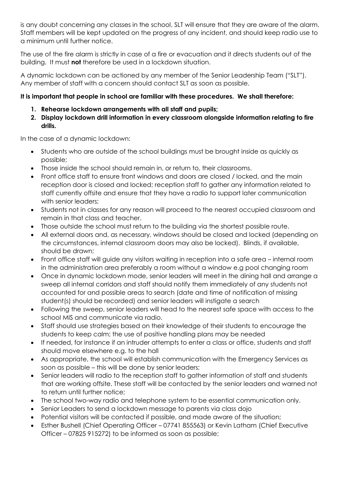is any doubt concerning any classes in the school, SLT will ensure that they are aware of the alarm. Staff members will be kept updated on the progress of any incident, and should keep radio use to a minimum until further notice.

The use of the fire alarm is strictly in case of a fire or evacuation and it directs students out of the building. It must **not** therefore be used in a lockdown situation.

A dynamic lockdown can be actioned by any member of the Senior Leadership Team ("SLT"). Any member of staff with a concern should contact SLT as soon as possible.

# **It is important that people in school are familiar with these procedures. We shall therefore:**

- **1. Rehearse lockdown arrangements with all staff and pupils;**
- **2. Display lockdown drill information in every classroom alongside information relating to fire drills.**

In the case of a dynamic lockdown:

- Students who are outside of the school buildings must be brought inside as quickly as possible;
- Those inside the school should remain in, or return to, their classrooms.
- Front office staff to ensure front windows and doors are closed / locked, and the main reception door is closed and locked; reception staff to gather any information related to staff currently offsite and ensure that they have a radio to support later communication with senior leaders;
- Students not in classes for any reason will proceed to the nearest occupied classroom and remain in that class and teacher.
- Those outside the school must return to the building via the shortest possible route.
- All external doors and, as necessary, windows should be closed and locked (depending on the circumstances, internal classroom doors may also be locked). Blinds, if available, should be drawn;
- Front office staff will guide any visitors waiting in reception into a safe area internal room in the administration area preferably a room without a window e.g pool changing room
- Once in dynamic lockdown mode, senior leaders will meet in the dining hall and arrange a sweep all internal corridors and staff should notify them immediately of any students not accounted for and possible areas to search (date and time of notification of missing student(s) should be recorded) and senior leaders will instigate a search
- Following the sweep, senior leaders will head to the nearest safe space with access to the school MIS and communicate via radio.
- Staff should use strategies based on their knowledge of their students to encourage the students to keep calm; the use of positive handling plans may be needed
- If needed, for instance if an intruder attempts to enter a class or office, students and staff should move elsewhere e.g. to the hall
- As appropriate, the school will establish communication with the Emergency Services as soon as possible – this will be done by senior leaders;
- Senior leaders will radio to the reception staff to gather information of staff and students that are working offsite. These staff will be contacted by the senior leaders and warned not to return until further notice;
- The school two-way radio and telephone system to be essential communication only.
- Senior Leaders to send a lockdown message to parents via class dojo
- Potential visitors will be contacted if possible, and made aware of the situation;
- Esther Bushell (Chief Operating Officer 07741 855563) or Kevin Latham (Chief Executive Officer – 07825 915272) to be informed as soon as possible;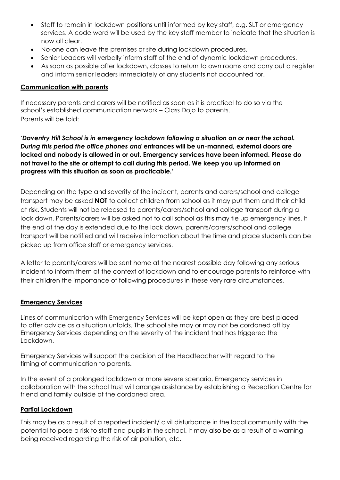- Staff to remain in lockdown positions until informed by key staff, e.g. SLT or emergency services. A code word will be used by the key staff member to indicate that the situation is now all clear.
- No-one can leave the premises or site during lockdown procedures.
- Senior Leaders will verbally inform staff of the end of dynamic lockdown procedures.
- As soon as possible after lockdown, classes to return to own rooms and carry out a register and inform senior leaders immediately of any students not accounted for.

#### **Communication with parents**

If necessary parents and carers will be notified as soon as it is practical to do so via the school's established communication network – Class Dojo to parents. Parents will be told:

*'Daventry Hill School is in emergency lockdown following a situation on or near the school. During this period the office phones and* **entrances will be un-manned, external doors are locked and nobody is allowed in or out. Emergency services have been informed. Please do not travel to the site or attempt to call during this period. We keep you up informed on progress with this situation as soon as practicable.'**

Depending on the type and severity of the incident, parents and carers/school and college transport may be asked **NOT** to collect children from school as it may put them and their child at risk. Students will not be released to parents/carers/school and college transport during a lock down. Parents/carers will be asked not to call school as this may tie up emergency lines. If the end of the day is extended due to the lock down, parents/carers/school and college transport will be notified and will receive information about the time and place students can be picked up from office staff or emergency services.

A letter to parents/carers will be sent home at the nearest possible day following any serious incident to inform them of the context of lockdown and to encourage parents to reinforce with their children the importance of following procedures in these very rare circumstances.

#### **Emergency Services**

Lines of communication with Emergency Services will be kept open as they are best placed to offer advice as a situation unfolds. The school site may or may not be cordoned off by Emergency Services depending on the severity of the incident that has triggered the Lockdown.

Emergency Services will support the decision of the Headteacher with regard to the timing of communication to parents.

In the event of a prolonged lockdown or more severe scenario, Emergency services in collaboration with the school trust will arrange assistance by establishing a Reception Centre for friend and family outside of the cordoned area.

#### **Partial Lockdown**

This may be as a result of a reported incident/ civil disturbance in the local community with the potential to pose a risk to staff and pupils in the school. It may also be as a result of a warning being received regarding the risk of air pollution, etc.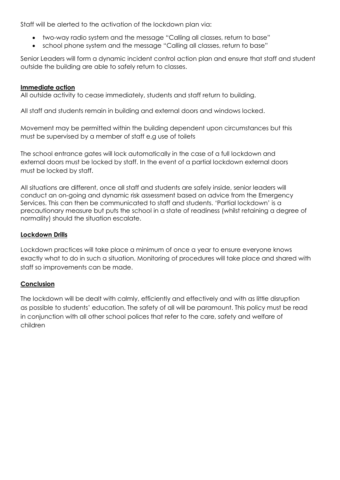Staff will be alerted to the activation of the lockdown plan via:

- two-way radio system and the message "Calling all classes, return to base"
- school phone system and the message "Calling all classes, return to base"

Senior Leaders will form a dynamic incident control action plan and ensure that staff and student outside the building are able to safely return to classes.

#### **Immediate action**

All outside activity to cease immediately, students and staff return to building.

All staff and students remain in building and external doors and windows locked.

Movement may be permitted within the building dependent upon circumstances but this must be supervised by a member of staff e.g use of toilets

The school entrance gates will lock automatically in the case of a full lockdown and external doors must be locked by staff. In the event of a partial lockdown external doors must be locked by staff.

All situations are different, once all staff and students are safely inside, senior leaders will conduct an on-going and dynamic risk assessment based on advice from the Emergency Services. This can then be communicated to staff and students. 'Partial lockdown' is a precautionary measure but puts the school in a state of readiness (whilst retaining a degree of normality) should the situation escalate.

#### **Lockdown Drills**

Lockdown practices will take place a minimum of once a year to ensure everyone knows exactly what to do in such a situation. Monitoring of procedures will take place and shared with staff so improvements can be made.

# **Conclusion**

The lockdown will be dealt with calmly, efficiently and effectively and with as little disruption as possible to students' education. The safety of all will be paramount. This policy must be read in conjunction with all other school polices that refer to the care, safety and welfare of children